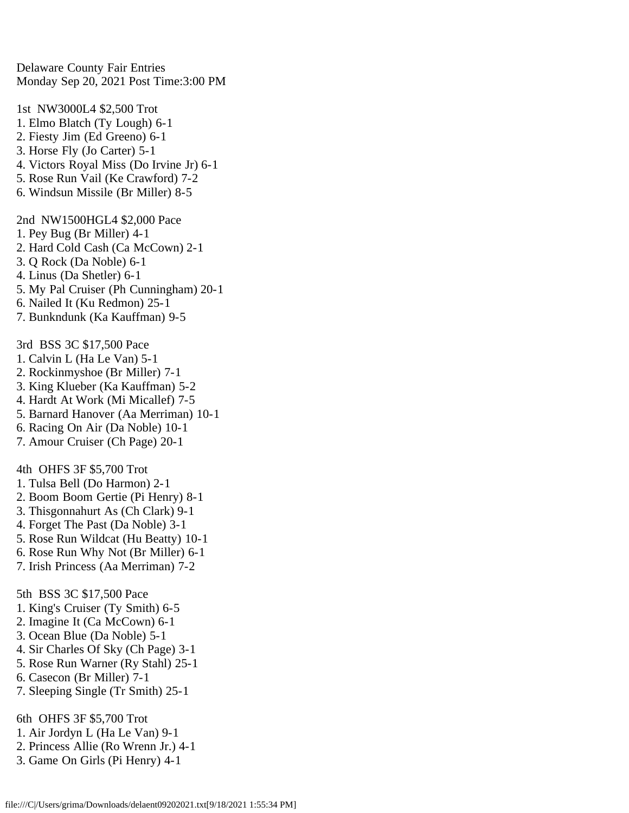Delaware County Fair Entries Monday Sep 20, 2021 Post Time:3:00 PM

1st NW3000L4 \$2,500 Trot 1. Elmo Blatch (Ty Lough) 6-1 2. Fiesty Jim (Ed Greeno) 6-1 3. Horse Fly (Jo Carter) 5-1 4. Victors Royal Miss (Do Irvine Jr) 6-1 5. Rose Run Vail (Ke Crawford) 7-2 6. Windsun Missile (Br Miller) 8-5 2nd NW1500HGL4 \$2,000 Pace 1. Pey Bug (Br Miller) 4-1 2. Hard Cold Cash (Ca McCown) 2-1 3. Q Rock (Da Noble) 6-1 4. Linus (Da Shetler) 6-1 5. My Pal Cruiser (Ph Cunningham) 20-1 6. Nailed It (Ku Redmon) 25-1 7. Bunkndunk (Ka Kauffman) 9-5 3rd BSS 3C \$17,500 Pace 1. Calvin L (Ha Le Van) 5-1 2. Rockinmyshoe (Br Miller) 7-1 3. King Klueber (Ka Kauffman) 5-2 4. Hardt At Work (Mi Micallef) 7-5 5. Barnard Hanover (Aa Merriman) 10-1 6. Racing On Air (Da Noble) 10-1 7. Amour Cruiser (Ch Page) 20-1 4th OHFS 3F \$5,700 Trot

- 1. Tulsa Bell (Do Harmon) 2-1
- 2. Boom Boom Gertie (Pi Henry) 8-1
- 3. Thisgonnahurt As (Ch Clark) 9-1
- 4. Forget The Past (Da Noble) 3-1
- 5. Rose Run Wildcat (Hu Beatty) 10-1
- 6. Rose Run Why Not (Br Miller) 6-1
- 7. Irish Princess (Aa Merriman) 7-2

5th BSS 3C \$17,500 Pace

- 1. King's Cruiser (Ty Smith) 6-5
- 2. Imagine It (Ca McCown) 6-1
- 3. Ocean Blue (Da Noble) 5-1
- 4. Sir Charles Of Sky (Ch Page) 3-1
- 5. Rose Run Warner (Ry Stahl) 25-1
- 6. Casecon (Br Miller) 7-1
- 7. Sleeping Single (Tr Smith) 25-1

6th OHFS 3F \$5,700 Trot

- 1. Air Jordyn L (Ha Le Van) 9-1
- 2. Princess Allie (Ro Wrenn Jr.) 4-1
- 3. Game On Girls (Pi Henry) 4-1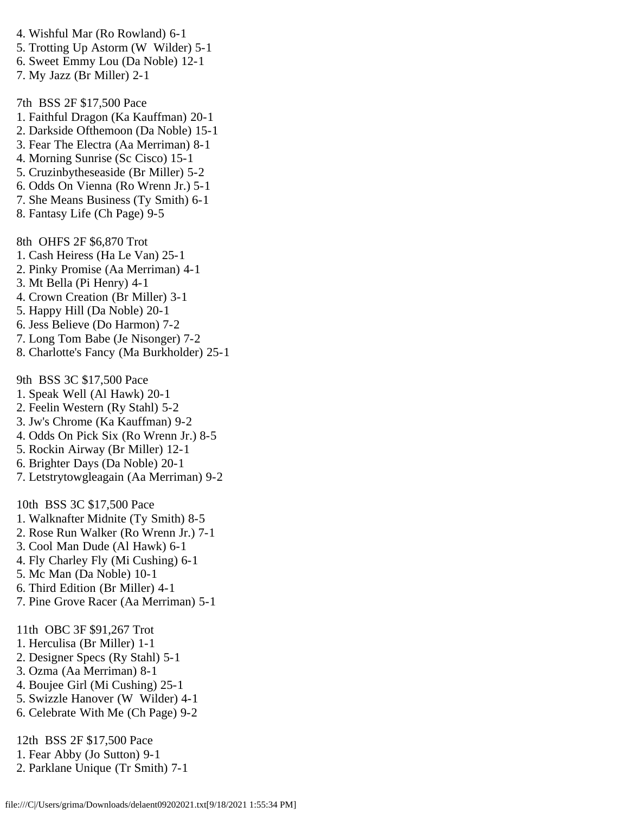- 4. Wishful Mar (Ro Rowland) 6-1
- 5. Trotting Up Astorm (W Wilder) 5-1
- 6. Sweet Emmy Lou (Da Noble) 12-1
- 7. My Jazz (Br Miller) 2-1

7th BSS 2F \$17,500 Pace

- 1. Faithful Dragon (Ka Kauffman) 20-1
- 2. Darkside Ofthemoon (Da Noble) 15-1
- 3. Fear The Electra (Aa Merriman) 8-1
- 4. Morning Sunrise (Sc Cisco) 15-1
- 5. Cruzinbytheseaside (Br Miller) 5-2
- 6. Odds On Vienna (Ro Wrenn Jr.) 5-1
- 7. She Means Business (Ty Smith) 6-1
- 8. Fantasy Life (Ch Page) 9-5

8th OHFS 2F \$6,870 Trot

- 1. Cash Heiress (Ha Le Van) 25-1
- 2. Pinky Promise (Aa Merriman) 4-1
- 3. Mt Bella (Pi Henry) 4-1
- 4. Crown Creation (Br Miller) 3-1
- 5. Happy Hill (Da Noble) 20-1
- 6. Jess Believe (Do Harmon) 7-2
- 7. Long Tom Babe (Je Nisonger) 7-2
- 8. Charlotte's Fancy (Ma Burkholder) 25-1

9th BSS 3C \$17,500 Pace

- 1. Speak Well (Al Hawk) 20-1
- 2. Feelin Western (Ry Stahl) 5-2
- 3. Jw's Chrome (Ka Kauffman) 9-2
- 4. Odds On Pick Six (Ro Wrenn Jr.) 8-5
- 5. Rockin Airway (Br Miller) 12-1
- 6. Brighter Days (Da Noble) 20-1
- 7. Letstrytowgleagain (Aa Merriman) 9-2

10th BSS 3C \$17,500 Pace

- 1. Walknafter Midnite (Ty Smith) 8-5
- 2. Rose Run Walker (Ro Wrenn Jr.) 7-1
- 3. Cool Man Dude (Al Hawk) 6-1
- 4. Fly Charley Fly (Mi Cushing) 6-1
- 5. Mc Man (Da Noble) 10-1
- 6. Third Edition (Br Miller) 4-1
- 7. Pine Grove Racer (Aa Merriman) 5-1
- 11th OBC 3F \$91,267 Trot
- 1. Herculisa (Br Miller) 1-1
- 2. Designer Specs (Ry Stahl) 5-1
- 3. Ozma (Aa Merriman) 8-1
- 4. Boujee Girl (Mi Cushing) 25-1
- 5. Swizzle Hanover (W Wilder) 4-1
- 6. Celebrate With Me (Ch Page) 9-2

12th BSS 2F \$17,500 Pace

- 1. Fear Abby (Jo Sutton) 9-1
- 2. Parklane Unique (Tr Smith) 7-1